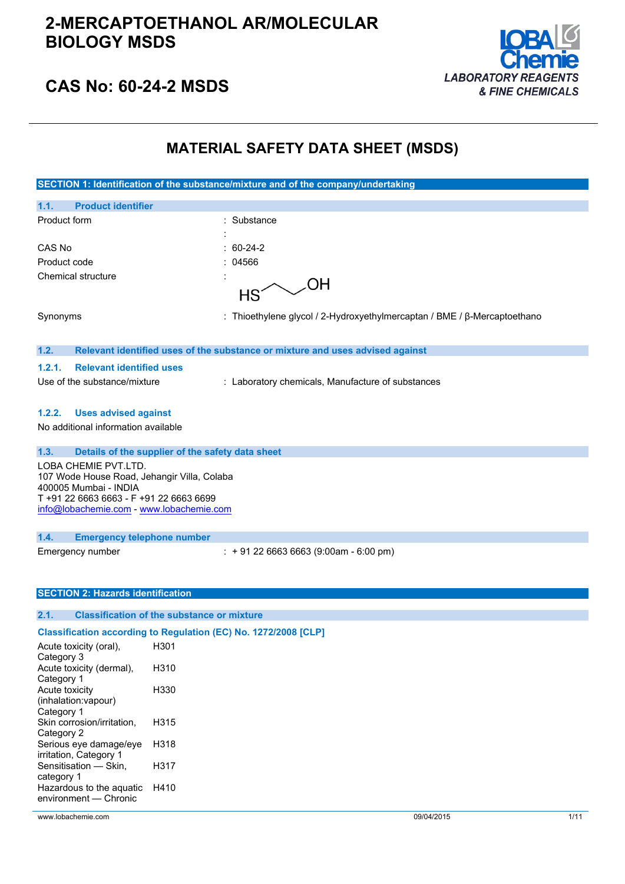

## **CAS No: 60-24-2 MSDS**

### **MATERIAL SAFETY DATA SHEET (MSDS)**

|                                                                  | SECTION 1: Identification of the substance/mixture and of the company/undertaking |  |
|------------------------------------------------------------------|-----------------------------------------------------------------------------------|--|
| <b>Product identifier</b><br>1.1.                                |                                                                                   |  |
| Product form                                                     | : Substance                                                                       |  |
|                                                                  |                                                                                   |  |
| CAS No                                                           | $: 60-24-2$                                                                       |  |
| Product code                                                     | 04566                                                                             |  |
| <b>Chemical structure</b>                                        | $\sim$ OH                                                                         |  |
|                                                                  | HS                                                                                |  |
| Synonyms                                                         | : Thioethylene glycol / 2-Hydroxyethylmercaptan / BME / $\beta$ -Mercaptoethano   |  |
|                                                                  |                                                                                   |  |
| 1.2.                                                             | Relevant identified uses of the substance or mixture and uses advised against     |  |
| 1.2.1.<br><b>Relevant identified uses</b>                        |                                                                                   |  |
| Use of the substance/mixture                                     | : Laboratory chemicals, Manufacture of substances                                 |  |
|                                                                  |                                                                                   |  |
| 1.2.2.<br><b>Uses advised against</b>                            |                                                                                   |  |
| No additional information available                              |                                                                                   |  |
| 1.3.                                                             | Details of the supplier of the safety data sheet                                  |  |
| LOBA CHEMIE PVT.LTD.                                             |                                                                                   |  |
| 107 Wode House Road, Jehangir Villa, Colaba                      |                                                                                   |  |
| 400005 Mumbai - INDIA<br>T +91 22 6663 6663 - F +91 22 6663 6699 |                                                                                   |  |
| info@lobachemie.com - www.lobachemie.com                         |                                                                                   |  |
|                                                                  |                                                                                   |  |
| 1.4.<br><b>Emergency telephone number</b>                        |                                                                                   |  |
| Emergency number                                                 | $: +912266636663(9:00am - 6:00 pm)$                                               |  |
|                                                                  |                                                                                   |  |
| <b>SECTION 2: Hazards identification</b>                         |                                                                                   |  |
|                                                                  |                                                                                   |  |
| 2.1.<br><b>Classification of the substance or mixture</b>        |                                                                                   |  |
| Classification according to Regulation (EC) No. 1272/2008 [CLP]  |                                                                                   |  |
| Acute toxicity (oral),<br>Category 3                             | H301                                                                              |  |
| Acute toxicity (dermal),                                         | H310                                                                              |  |
| Category 1<br>Acute toxicity                                     | H330                                                                              |  |
| (inhalation: vapour)                                             |                                                                                   |  |
| Category 1                                                       |                                                                                   |  |
| Skin corrosion/irritation,                                       | H315                                                                              |  |

Hazardous to the aquatic H410environment — Chronic

irritation, Category 1 Sensitisation — Skin,

Serious eye damage/eye H318

H317

Category 2

category 1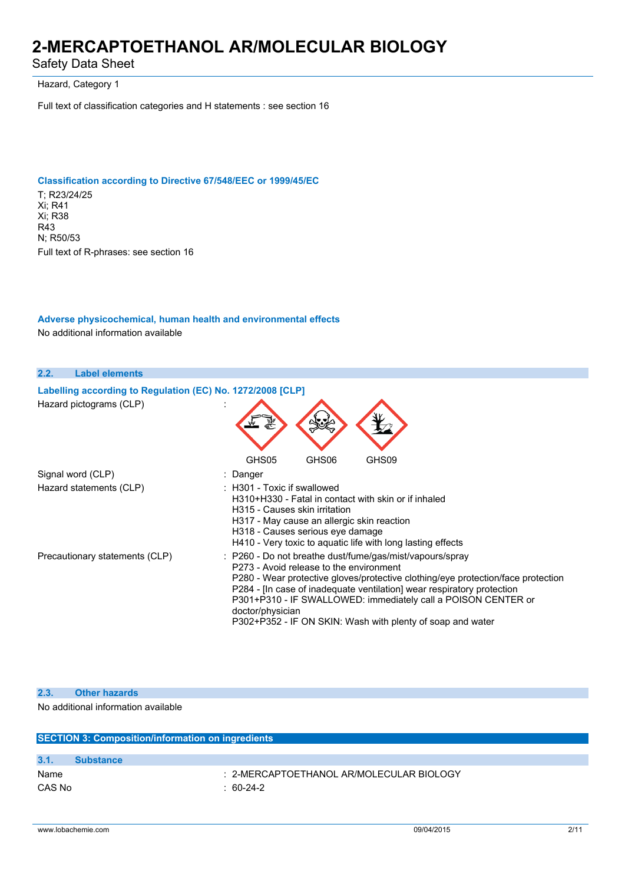Safety Data Sheet

Hazard, Category 1

Full text of classification categories and H statements : see section 16

#### **Classification according to Directive 67/548/EEC or 1999/45/EC**

T; R23/24/25 Xi; R41 Xi; R38 R43 N; R50/53 Full text of R-phrases: see section 16

#### **Adverse physicochemical, human health and environmental effects** No additional information available

**2.2. Label elements Labelling according to Regulation** (EC) No. 1272/2008 [CLP] Hazard pictograms (CLP) : GHS05 GHS06 GHS09 Signal word (CLP) : Danger Hazard statements (CLP) : H301 - Toxic if swallowed H310+H330 - Fatal in contact with skin or if inhaled H315 - Causes skin irritation H317 - May cause an allergic skin reaction H318 - Causes serious eye damage H410 - Very toxic to aquatic life with long lasting effects Precautionary statements (CLP) : P260 - Do not breathe dust/fume/gas/mist/vapours/spray P273 - Avoid release to the environment P280 - Wear protective gloves/protective clothing/eye protection/face protection P284 - [In case of inadequate ventilation] wear respiratory protection P301+P310 - IF SWALLOWED: immediately call a POISON CENTER or doctor/physician P302+P352 - IF ON SKIN: Wash with plenty of soap and water

#### **2.3. Other hazards**

#### No additional information available

| <b>SECTION 3: Composition/information on ingredients</b> |                  |                                          |
|----------------------------------------------------------|------------------|------------------------------------------|
|                                                          |                  |                                          |
| 3.1.                                                     | <b>Substance</b> |                                          |
| Name                                                     |                  | : 2-MERCAPTOETHANOL AR/MOLECULAR BIOLOGY |
| CAS No                                                   |                  | : 60-24-2                                |
|                                                          |                  |                                          |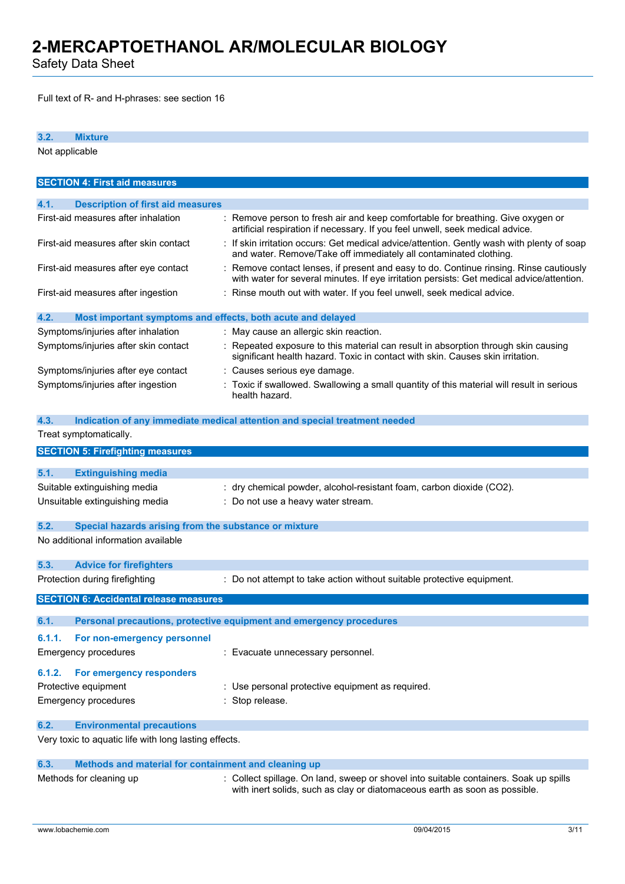Safety Data Sheet

Full text of R- and H-phrases: see section 16

| 3.2.           | <b>Mixture</b>                                              |                                                                                                                                                                                     |
|----------------|-------------------------------------------------------------|-------------------------------------------------------------------------------------------------------------------------------------------------------------------------------------|
| Not applicable |                                                             |                                                                                                                                                                                     |
|                |                                                             |                                                                                                                                                                                     |
|                | <b>SECTION 4: First aid measures</b>                        |                                                                                                                                                                                     |
|                |                                                             |                                                                                                                                                                                     |
| 4.1.           | <b>Description of first aid measures</b>                    |                                                                                                                                                                                     |
|                | First-aid measures after inhalation                         | : Remove person to fresh air and keep comfortable for breathing. Give oxygen or<br>artificial respiration if necessary. If you feel unwell, seek medical advice.                    |
|                | First-aid measures after skin contact                       | : If skin irritation occurs: Get medical advice/attention. Gently wash with plenty of soap<br>and water. Remove/Take off immediately all contaminated clothing.                     |
|                | First-aid measures after eye contact                        | : Remove contact lenses, if present and easy to do. Continue rinsing. Rinse cautiously<br>with water for several minutes. If eye irritation persists: Get medical advice/attention. |
|                | First-aid measures after ingestion                          | : Rinse mouth out with water. If you feel unwell, seek medical advice.                                                                                                              |
| 4.2.           | Most important symptoms and effects, both acute and delayed |                                                                                                                                                                                     |
|                | Symptoms/injuries after inhalation                          | : May cause an allergic skin reaction.                                                                                                                                              |
|                | Symptoms/injuries after skin contact                        | : Repeated exposure to this material can result in absorption through skin causing<br>significant health hazard. Toxic in contact with skin. Causes skin irritation.                |
|                | Symptoms/injuries after eye contact                         | : Causes serious eye damage.                                                                                                                                                        |
|                | Symptoms/injuries after ingestion                           | : Toxic if swallowed. Swallowing a small quantity of this material will result in serious<br>health hazard.                                                                         |
| 4.3.           |                                                             | Indication of any immediate medical attention and special treatment needed                                                                                                          |
|                | Treat symptomatically.                                      |                                                                                                                                                                                     |
|                |                                                             |                                                                                                                                                                                     |
|                | <b>SECTION 5: Firefighting measures</b>                     |                                                                                                                                                                                     |
| 5.1.           | <b>Extinguishing media</b>                                  |                                                                                                                                                                                     |
|                | Suitable extinguishing media                                | : dry chemical powder, alcohol-resistant foam, carbon dioxide (CO2).                                                                                                                |
|                | Unsuitable extinguishing media                              | : Do not use a heavy water stream.                                                                                                                                                  |
| 5.2.           | Special hazards arising from the substance or mixture       |                                                                                                                                                                                     |
|                | No additional information available                         |                                                                                                                                                                                     |
| 5.3.           | <b>Advice for firefighters</b>                              |                                                                                                                                                                                     |
|                | Protection during firefighting                              | : Do not attempt to take action without suitable protective equipment.                                                                                                              |
|                | <b>SECTION 6: Accidental release measures</b>               |                                                                                                                                                                                     |
| 6.1.           |                                                             | Personal precautions, protective equipment and emergency procedures                                                                                                                 |
|                |                                                             |                                                                                                                                                                                     |
| 6.1.1.         | For non-emergency personnel                                 |                                                                                                                                                                                     |
|                | <b>Emergency procedures</b>                                 | : Evacuate unnecessary personnel.                                                                                                                                                   |
| 6.1.2.         | For emergency responders                                    |                                                                                                                                                                                     |
|                | Protective equipment                                        | : Use personal protective equipment as required.                                                                                                                                    |
|                | <b>Emergency procedures</b>                                 | : Stop release.                                                                                                                                                                     |
| 6.2.           | <b>Environmental precautions</b>                            |                                                                                                                                                                                     |
|                | Very toxic to aquatic life with long lasting effects.       |                                                                                                                                                                                     |
| 6.3.           | Methods and material for containment and cleaning up        |                                                                                                                                                                                     |
|                | Methods for cleaning up                                     | : Collect spillage. On land, sweep or shovel into suitable containers. Soak up spills                                                                                               |
|                |                                                             | with inert solids, such as clay or diatomaceous earth as soon as possible.                                                                                                          |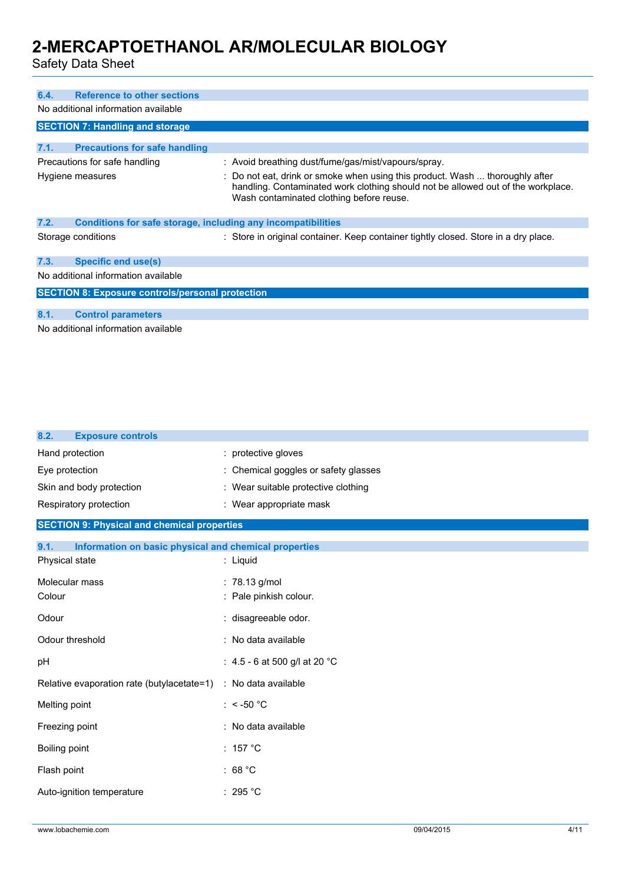Safety Data Sheet

| <b>Reference to other sections</b><br>6.4.                           |                                                                                                                                                                                                              |  |
|----------------------------------------------------------------------|--------------------------------------------------------------------------------------------------------------------------------------------------------------------------------------------------------------|--|
| No additional information available                                  |                                                                                                                                                                                                              |  |
| <b>SECTION 7: Handling and storage</b>                               |                                                                                                                                                                                                              |  |
|                                                                      |                                                                                                                                                                                                              |  |
| 7.1.<br><b>Precautions for safe handling</b>                         |                                                                                                                                                                                                              |  |
| Precautions for safe handling                                        | : Avoid breathing dust/fume/gas/mist/vapours/spray.                                                                                                                                                          |  |
| Hygiene measures                                                     | : Do not eat, drink or smoke when using this product. Wash  thoroughly after<br>handling. Contaminated work clothing should not be allowed out of the workplace.<br>Wash contaminated clothing before reuse. |  |
| 7.2.<br>Conditions for safe storage, including any incompatibilities |                                                                                                                                                                                                              |  |
| Storage conditions                                                   | : Store in original container. Keep container tightly closed. Store in a dry place.                                                                                                                          |  |
| 7.3.<br><b>Specific end use(s)</b>                                   |                                                                                                                                                                                                              |  |
| No additional information available                                  |                                                                                                                                                                                                              |  |
| <b>SECTION 8: Exposure controls/personal protection</b>              |                                                                                                                                                                                                              |  |
| 8.1.<br><b>Control parameters</b>                                    |                                                                                                                                                                                                              |  |
| No additional information available                                  |                                                                                                                                                                                                              |  |

| 8.2.<br><b>Exposure controls</b>                              |                                         |
|---------------------------------------------------------------|-----------------------------------------|
| Hand protection                                               | : protective gloves                     |
| Eye protection                                                | : Chemical goggles or safety glasses    |
| Skin and body protection                                      | : Wear suitable protective clothing     |
| Respiratory protection                                        | : Wear appropriate mask                 |
| <b>SECTION 9: Physical and chemical properties</b>            |                                         |
| 9.1.<br>Information on basic physical and chemical properties |                                         |
| Physical state                                                | : Liquid                                |
| Molecular mass                                                | : 78.13 g/mol                           |
| Colour                                                        | : Pale pinkish colour.                  |
| Odour                                                         | : disagreeable odor.                    |
| Odour threshold                                               | : No data available                     |
| pH                                                            | : 4.5 - 6 at 500 g/l at 20 $^{\circ}$ C |
| Relative evaporation rate (butylacetate=1)                    | : No data available                     |
| Melting point                                                 | : $<$ -50 °C                            |
| Freezing point                                                | : No data available                     |
| Boiling point                                                 | : 157 $\degree$ C                       |
| Flash point                                                   | : 68 $^{\circ}$ C                       |
| Auto-ignition temperature                                     | : 295 °C                                |
|                                                               |                                         |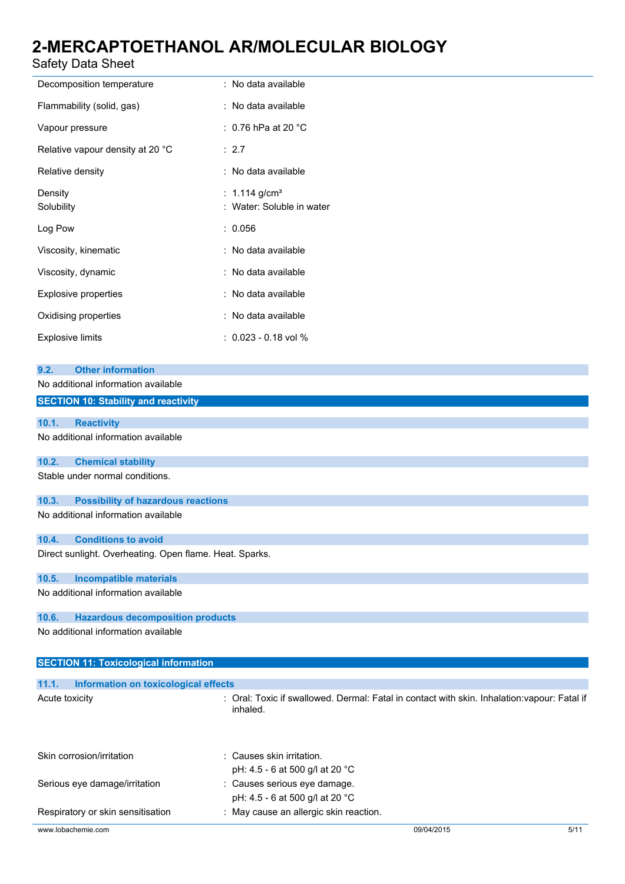### Safety Data Sheet

| Decomposition temperature        | : No data available                                    |
|----------------------------------|--------------------------------------------------------|
| Flammability (solid, gas)        | : No data available                                    |
| Vapour pressure                  | : 0.76 hPa at 20 $^{\circ}$ C                          |
| Relative vapour density at 20 °C | : 2.7                                                  |
| Relative density                 | : No data available                                    |
| Density<br>Solubility            | : 1.114 g/cm <sup>3</sup><br>: Water: Soluble in water |
| Log Pow                          | : 0.056                                                |
| Viscosity, kinematic             | : No data available                                    |
| Viscosity, dynamic               | : No data available                                    |
| Explosive properties             | : No data available                                    |
| Oxidising properties             | : No data available                                    |
| <b>Explosive limits</b>          | $: 0.023 - 0.18$ vol %                                 |

|       | Explosive limits                                        | $: 0.023 - 0.18$ vol %                                                                       |
|-------|---------------------------------------------------------|----------------------------------------------------------------------------------------------|
| 9.2.  | <b>Other information</b>                                |                                                                                              |
|       | No additional information available                     |                                                                                              |
|       | <b>SECTION 10: Stability and reactivity</b>             |                                                                                              |
| 10.1. | <b>Reactivity</b>                                       |                                                                                              |
|       | No additional information available                     |                                                                                              |
|       |                                                         |                                                                                              |
| 10.2. | <b>Chemical stability</b>                               |                                                                                              |
|       | Stable under normal conditions.                         |                                                                                              |
| 10.3. | <b>Possibility of hazardous reactions</b>               |                                                                                              |
|       | No additional information available                     |                                                                                              |
| 10.4. | <b>Conditions to avoid</b>                              |                                                                                              |
|       | Direct sunlight. Overheating. Open flame. Heat. Sparks. |                                                                                              |
| 10.5. | <b>Incompatible materials</b>                           |                                                                                              |
|       | No additional information available                     |                                                                                              |
| 10.6. | <b>Hazardous decomposition products</b>                 |                                                                                              |
|       | No additional information available                     |                                                                                              |
|       | <b>SECTION 11: Toxicological information</b>            |                                                                                              |
| 11.1. | <b>Information on toxicological effects</b>             |                                                                                              |
|       | Acute toxicity                                          | : Oral: Toxic if swallowed. Dermal: Fatal in contact with skin. Inhalation: vapour: Fatal if |
|       |                                                         | inhaled.                                                                                     |
|       | Skin corrosion/irritation                               | : Causes skin irritation.                                                                    |
|       |                                                         | pH: 4.5 - 6 at 500 g/l at 20 °C                                                              |

Serious eye damage/irritation : Causes serious eye damage.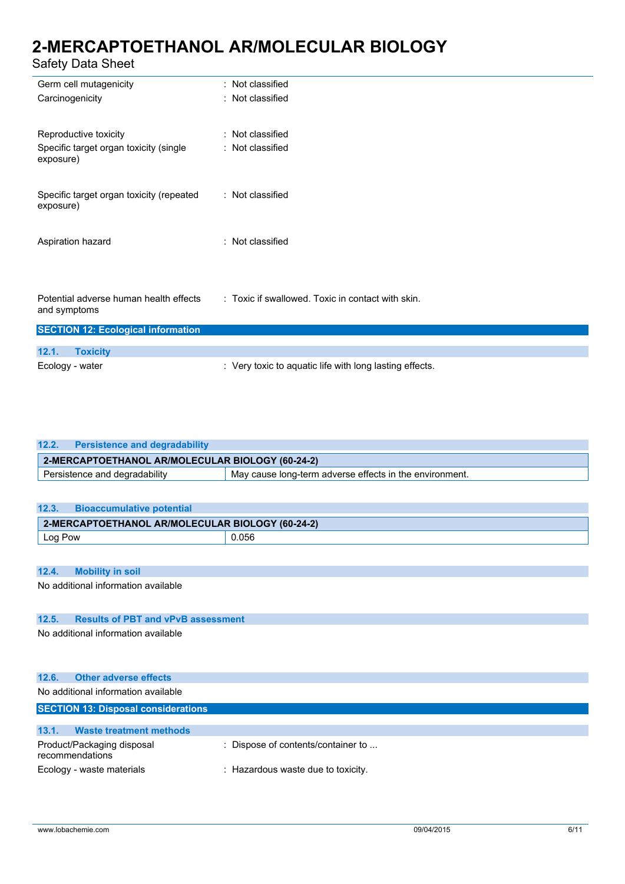### Safety Data Sheet

| Germ cell mutagenicity                              | : Not classified                                        |
|-----------------------------------------------------|---------------------------------------------------------|
| Carcinogenicity                                     | : Not classified                                        |
|                                                     |                                                         |
|                                                     |                                                         |
| Reproductive toxicity                               | : Not classified                                        |
| Specific target organ toxicity (single<br>exposure) | : Not classified                                        |
|                                                     |                                                         |
| Specific target organ toxicity (repeated            | : Not classified                                        |
| exposure)                                           |                                                         |
|                                                     |                                                         |
|                                                     |                                                         |
| Aspiration hazard                                   | : Not classified                                        |
|                                                     |                                                         |
|                                                     |                                                         |
| Potential adverse human health effects              | : Toxic if swallowed. Toxic in contact with skin.       |
| and symptoms                                        |                                                         |
| <b>SECTION 12: Ecological information</b>           |                                                         |
|                                                     |                                                         |
| 12.1.<br><b>Toxicity</b>                            |                                                         |
| Ecology - water                                     | : Very toxic to aquatic life with long lasting effects. |

| 12.2.<br><b>Persistence and degradability</b>    |                                                         |
|--------------------------------------------------|---------------------------------------------------------|
| 2-MERCAPTOETHANOL AR/MOLECULAR BIOLOGY (60-24-2) |                                                         |
| Persistence and degradability                    | May cause long-term adverse effects in the environment. |

| 12.3.<br><b>Bioaccumulative potential</b>        |       |  |
|--------------------------------------------------|-------|--|
| 2-MERCAPTOETHANOL AR/MOLECULAR BIOLOGY (60-24-2) |       |  |
| Log Pow                                          | 0.056 |  |

### **12.4. Mobility in soil**

No additional information available

### **12.5. Results of PBT and vPvB assessment**

No additional information available

#### **12.6. Other adverse effects**

| No additional information available           |                                    |  |
|-----------------------------------------------|------------------------------------|--|
| <b>SECTION 13: Disposal considerations</b>    |                                    |  |
| 13.1.<br><b>Waste treatment methods</b>       |                                    |  |
| Product/Packaging disposal<br>recommendations | : Dispose of contents/container to |  |
| Ecology - waste materials                     | : Hazardous waste due to toxicity. |  |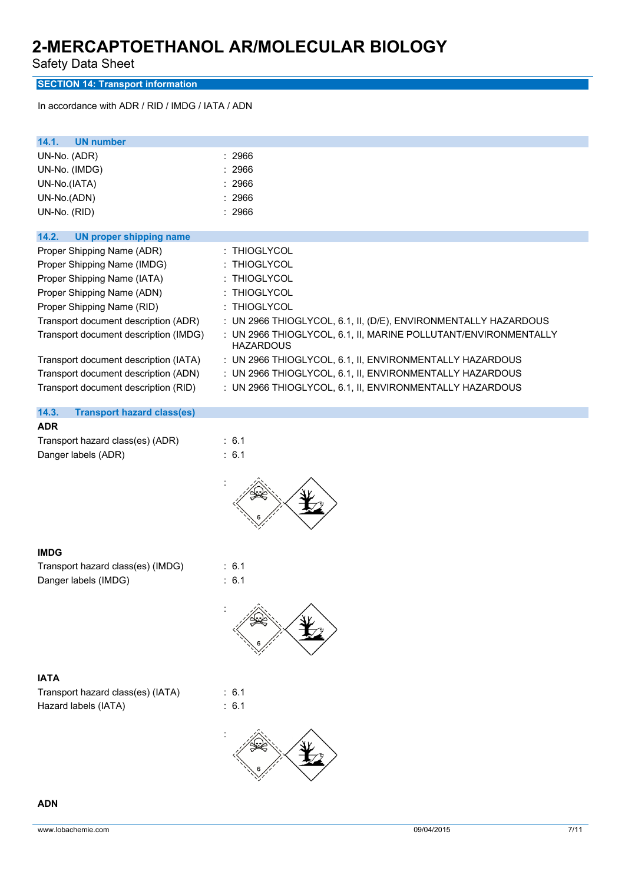Safety Data Sheet

**SECTION 14: Transport information**

In accordance with ADR / RID / IMDG / IATA / ADN

| <b>UN number</b><br>14.1.                  |                                                                                     |
|--------------------------------------------|-------------------------------------------------------------------------------------|
| UN-No. (ADR)                               | 2966<br>۰.                                                                          |
| UN-No. (IMDG)                              | 2966                                                                                |
| UN-No.(IATA)                               | 2966                                                                                |
| UN-No.(ADN)                                | 2966                                                                                |
| UN-No. (RID)                               | : 2966                                                                              |
| <b>UN proper shipping name</b><br>14.2.    |                                                                                     |
| Proper Shipping Name (ADR)                 | : THIOGLYCOL                                                                        |
| Proper Shipping Name (IMDG)                | : THIOGLYCOL                                                                        |
| Proper Shipping Name (IATA)                | <b>THIOGLYCOL</b>                                                                   |
| Proper Shipping Name (ADN)                 | <b>THIOGLYCOL</b>                                                                   |
| Proper Shipping Name (RID)                 | : THIOGLYCOL                                                                        |
| Transport document description (ADR)       | : UN 2966 THIOGLYCOL, 6.1, II, (D/E), ENVIRONMENTALLY HAZARDOUS                     |
| Transport document description (IMDG)      | : UN 2966 THIOGLYCOL, 6.1, II, MARINE POLLUTANT/ENVIRONMENTALLY<br><b>HAZARDOUS</b> |
| Transport document description (IATA)      | : UN 2966 THIOGLYCOL, 6.1, II, ENVIRONMENTALLY HAZARDOUS                            |
| Transport document description (ADN)       | : UN 2966 THIOGLYCOL, 6.1, II, ENVIRONMENTALLY HAZARDOUS                            |
| Transport document description (RID)       | : UN 2966 THIOGLYCOL, 6.1, II, ENVIRONMENTALLY HAZARDOUS                            |
|                                            |                                                                                     |
| 14.3.<br><b>Transport hazard class(es)</b> |                                                                                     |
| <b>ADR</b>                                 |                                                                                     |
| Transport hazard class(es) (ADR)           | : 6.1                                                                               |
| Danger labels (ADR)                        | : 6.1                                                                               |
|                                            |                                                                                     |
| <b>IMDG</b>                                |                                                                                     |
| Transport hazard class(es) (IMDG)          | : 6.1                                                                               |
| Danger labels (IMDG)                       | : 6.1                                                                               |
|                                            |                                                                                     |
|                                            |                                                                                     |
| <b>IATA</b>                                |                                                                                     |
| Transport hazard class(es) (IATA)          | : 6.1                                                                               |
| Hazard labels (IATA)                       | : 6.1                                                                               |
|                                            |                                                                                     |
|                                            |                                                                                     |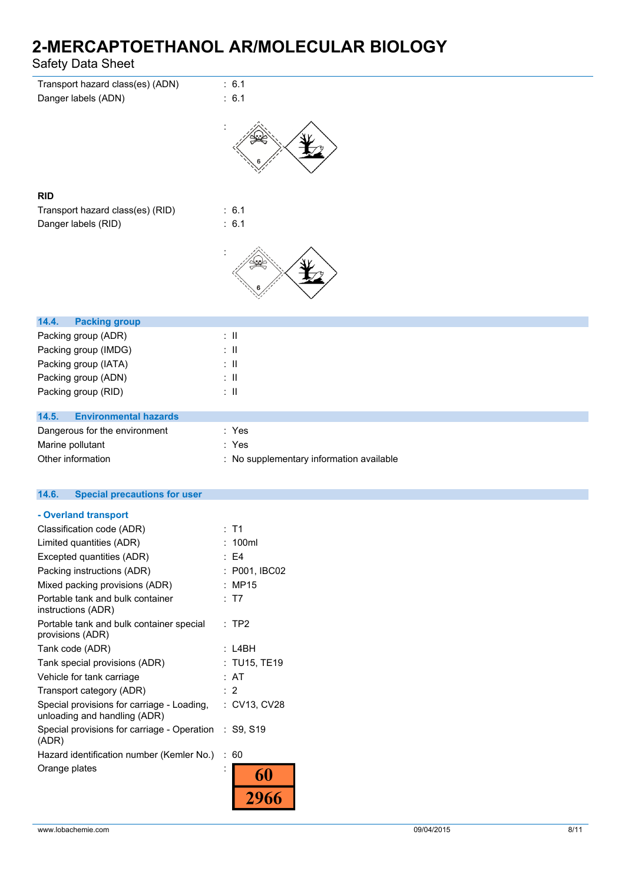Safety Data Sheet

| Transport hazard class(es) (ADN)<br>Danger labels (ADN)                    | : 6.1<br>: 6.1                           |
|----------------------------------------------------------------------------|------------------------------------------|
|                                                                            |                                          |
| <b>RID</b>                                                                 |                                          |
| Transport hazard class(es) (RID)                                           | : 6.1                                    |
| Danger labels (RID)                                                        | : 6.1                                    |
|                                                                            |                                          |
| <b>Packing group</b><br>14.4.                                              |                                          |
| Packing group (ADR)                                                        | $\therefore$ H                           |
| Packing group (IMDG)                                                       | $\therefore$ H                           |
| Packing group (IATA)                                                       | $\therefore$ 11                          |
| Packing group (ADN)                                                        | $\therefore$ H                           |
| Packing group (RID)                                                        | $\cdot$ II                               |
| <b>Environmental hazards</b><br>14.5.                                      |                                          |
| Dangerous for the environment                                              | : Yes                                    |
| Marine pollutant                                                           | : Yes                                    |
| Other information                                                          | : No supplementary information available |
| 14.6.<br><b>Special precautions for user</b>                               |                                          |
| - Overland transport                                                       |                                          |
| Classification code (ADR)                                                  | $:$ T1                                   |
| Limited quantities (ADR)                                                   | : 100ml                                  |
| Excepted quantities (ADR)                                                  | : E4                                     |
| Packing instructions (ADR)                                                 | : P001, IBC02                            |
| Mixed packing provisions (ADR)                                             | : MP15                                   |
| Portable tank and bulk container<br>instructions (ADR)                     | : T7                                     |
| Portable tank and bulk container special<br>provisions (ADR)               | :TP2                                     |
| Tank code (ADR)                                                            | $:$ L4BH                                 |
| Tank special provisions (ADR)                                              | : TU15, TE19                             |
| Vehicle for tank carriage                                                  | : AT                                     |
| Transport category (ADR)                                                   | : 2                                      |
| Special provisions for carriage - Loading,<br>unloading and handling (ADR) | : CV13, CV28                             |
| Special provisions for carriage - Operation<br>(ADR)                       | : S9, S19                                |
| Hazard identification number (Kemler No.)                                  | : 60                                     |
| Orange plates                                                              | 60<br>2966                               |
|                                                                            |                                          |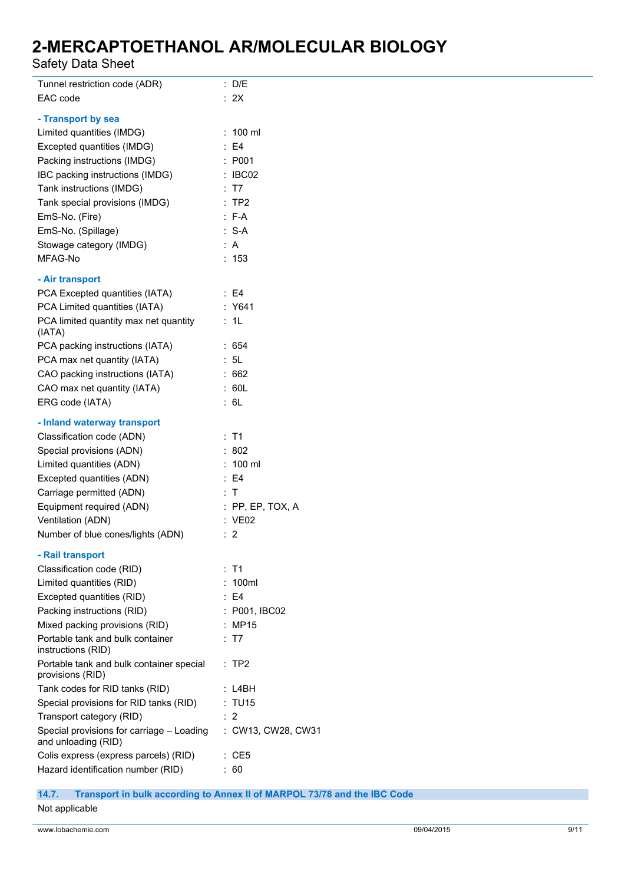Safety Data Sheet

| Tunnel restriction code (ADR)                                    | : D/E              |
|------------------------------------------------------------------|--------------------|
| EAC code                                                         | : 2X               |
| - Transport by sea                                               |                    |
|                                                                  |                    |
| Limited quantities (IMDG)                                        | $: 100$ ml         |
| Excepted quantities (IMDG)                                       | $\therefore$ E4    |
| Packing instructions (IMDG)                                      | : P001             |
| IBC packing instructions (IMDG)                                  | $\therefore$ IBC02 |
| Tank instructions (IMDG)                                         | $\therefore$ T7    |
| Tank special provisions (IMDG)                                   | :TP2               |
| EmS-No. (Fire)                                                   | $\therefore$ F-A   |
| EmS-No. (Spillage)                                               | $: S-A$            |
| Stowage category (IMDG)                                          | : A                |
| MFAG-No                                                          | : 153              |
| - Air transport                                                  |                    |
| PCA Excepted quantities (IATA)                                   | $\therefore$ E4    |
| PCA Limited quantities (IATA)                                    | : Y641             |
| PCA limited quantity max net quantity<br>(IATA)                  | : 1L               |
| PCA packing instructions (IATA)                                  | $\therefore$ 654   |
| PCA max net quantity (IATA)                                      | : 5L               |
| CAO packing instructions (IATA)                                  | :662               |
| CAO max net quantity (IATA)                                      | : 60L              |
| ERG code (IATA)                                                  | : 6L               |
|                                                                  |                    |
| - Inland waterway transport                                      |                    |
| Classification code (ADN)                                        | $:$ T1             |
| Special provisions (ADN)                                         | : 802              |
| Limited quantities (ADN)                                         | $: 100$ ml         |
| Excepted quantities (ADN)                                        | $\therefore$ E4    |
| Carriage permitted (ADN)                                         | $\therefore$ T     |
| Equipment required (ADN)                                         | $:$ PP, EP, TOX, A |
| Ventilation (ADN)                                                | : VE02             |
| Number of blue cones/lights (ADN)                                | $\therefore$ 2     |
| - Rail transport                                                 |                    |
| Classification code (RID)                                        | $:$ T1             |
| Limited quantities (RID)                                         | : 100ml            |
| Excepted quantities (RID)                                        | $\therefore$ E4    |
| Packing instructions (RID)                                       | : P001, IBC02      |
| Mixed packing provisions (RID)                                   | : MP15             |
| Portable tank and bulk container<br>instructions (RID)           | : T7               |
| Portable tank and bulk container special<br>provisions (RID)     | $:$ TP2            |
| Tank codes for RID tanks (RID)                                   | : L4BH             |
| Special provisions for RID tanks (RID)                           | : TU15             |
| Transport category (RID)                                         | $\therefore$ 2     |
| Special provisions for carriage - Loading<br>and unloading (RID) | : CW13, CW28, CW31 |
| Colis express (express parcels) (RID)                            | : CE5              |
| Hazard identification number (RID)                               | : 60               |
|                                                                  |                    |

**14.7. Transport in bulk according to Annex II of MARPOL 73/78 and the IBC Code** Not applicable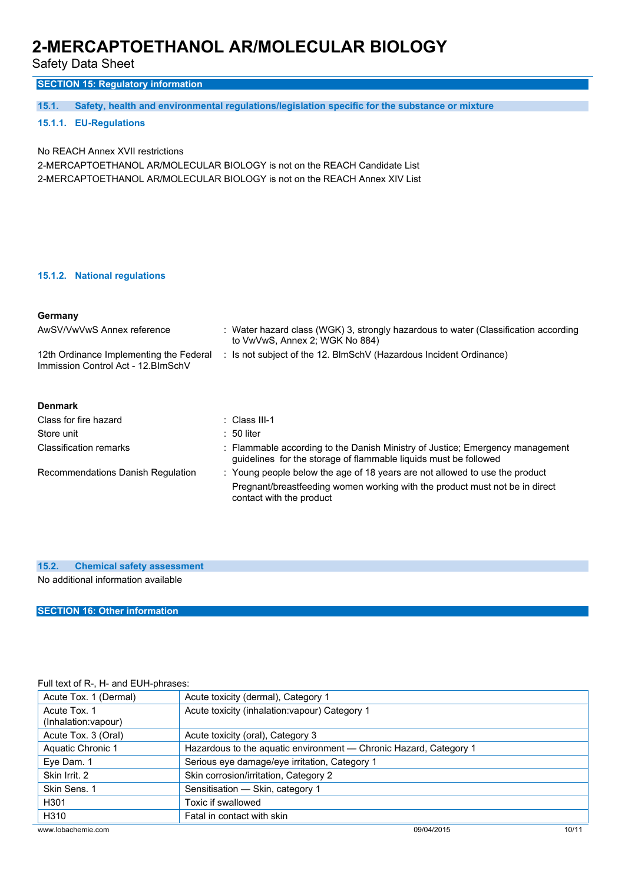Safety Data Sheet

### **SECTION 15: Regulatory information**

**15.1. Safety, health and environmental regulations/legislation specific for the substance or mixture**

### **15.1.1. EU-Regulations**

No REACH Annex XVII restrictions

2-MERCAPTOETHANOL AR/MOLECULAR BIOLOGY is not on the REACH Candidate List 2-MERCAPTOETHANOL AR/MOLECULAR BIOLOGY is not on the REACH Annex XIV List

### **15.1.2. National regulations**

| Germany                                                                        |                                                                                                                                                   |
|--------------------------------------------------------------------------------|---------------------------------------------------------------------------------------------------------------------------------------------------|
| AwSV/VwVwS Annex reference                                                     | : Water hazard class (WGK) 3, strongly hazardous to water (Classification according<br>to VwVwS, Annex 2; WGK No 884)                             |
| 12th Ordinance Implementing the Federal<br>Immission Control Act - 12. BlmSchV | : Is not subject of the 12. BlmSchV (Hazardous Incident Ordinance)                                                                                |
| <b>Denmark</b>                                                                 |                                                                                                                                                   |
| Class for fire hazard                                                          | : Class III-1                                                                                                                                     |
| Store unit                                                                     | $: 50$ liter                                                                                                                                      |
| Classification remarks                                                         | : Flammable according to the Danish Ministry of Justice; Emergency management<br>guidelines for the storage of flammable liquids must be followed |
| Recommendations Danish Regulation                                              | : Young people below the age of 18 years are not allowed to use the product                                                                       |
|                                                                                | Pregnant/breastfeeding women working with the product must not be in direct<br>contact with the product                                           |

#### **15.2. Chemical safety assessment**

No additional information available

**SECTION 16: Other information**

### Full text of R-, H- and EUH-phrases:

| Acute Tox. 1 (Dermal)                | Acute toxicity (dermal), Category 1                               |
|--------------------------------------|-------------------------------------------------------------------|
| Acute Tox. 1<br>(Inhalation: vapour) | Acute toxicity (inhalation: vapour) Category 1                    |
| Acute Tox. 3 (Oral)                  | Acute toxicity (oral), Category 3                                 |
| <b>Aquatic Chronic 1</b>             | Hazardous to the aquatic environment - Chronic Hazard, Category 1 |
| Eye Dam. 1                           | Serious eye damage/eye irritation, Category 1                     |
| Skin Irrit. 2                        | Skin corrosion/irritation, Category 2                             |
| Skin Sens, 1                         | Sensitisation - Skin, category 1                                  |
| H <sub>301</sub>                     | Toxic if swallowed                                                |
| H310                                 | Fatal in contact with skin                                        |
| www.lobachemie.com                   | 10/11<br>09/04/2015                                               |